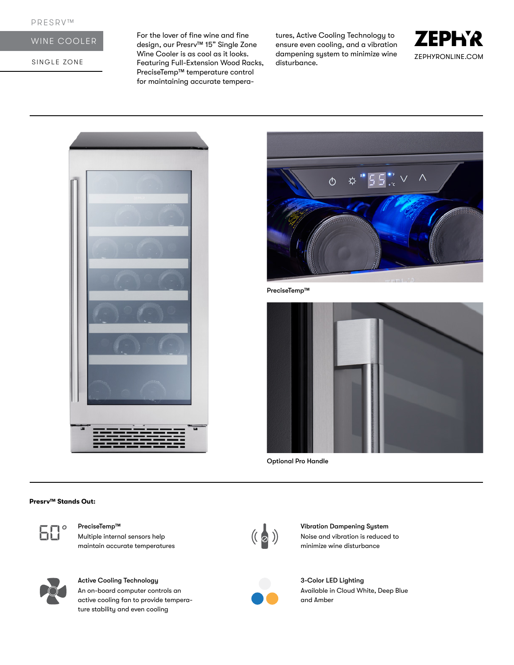# WINE COOLER

SINGLE ZONE

For the lover of fine wine and fine design, our Presrv™ 15" Single Zone Wine Cooler is as cool as it looks. Featuring Full-Extension Wood Racks, PreciseTemp™ temperature control for maintaining accurate temperatures, Active Cooling Technology to ensure even cooling, and a vibration dampening system to minimize wine disturbance.







PreciseTemp™



Optional Pro Handle

#### **Presrv™ Stands Out:**



Multiple internal sensors help maintain accurate temperatures



# Active Cooling Technology

An on-board computer controls an active cooling fan to provide temperature stability and even cooling



PreciseTemp™ Vibration Dampening System<br>Multiple internal sensors help (( a )) Vibration Dampening System<br>multiple internal sensors help ( a ) Noise and vibration is reduced<br>multiple wine disturbance Noise and vibration is reduced to minimize wine disturbance



3-Color LED Lighting Available in Cloud White, Deep Blue and Amber